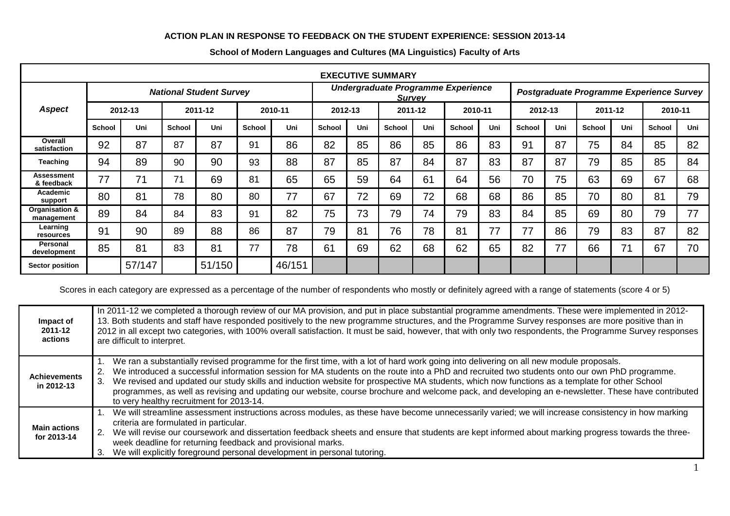## **ACTION PLAN IN RESPONSE TO FEEDBACK ON THE STUDENT EXPERIENCE: SESSION 2013-14**

| <b>EXECUTIVE SUMMARY</b>        |                                |        |               |        |               |         |                                                     |         |               |         |               |                                          |               |         |               |         |               |         |  |
|---------------------------------|--------------------------------|--------|---------------|--------|---------------|---------|-----------------------------------------------------|---------|---------------|---------|---------------|------------------------------------------|---------------|---------|---------------|---------|---------------|---------|--|
|                                 | <b>National Student Survey</b> |        |               |        |               |         | Undergraduate Programme Experience<br><b>Survey</b> |         |               |         |               | Postgraduate Programme Experience Survey |               |         |               |         |               |         |  |
| <b>Aspect</b>                   | 2012-13                        |        | 2011-12       |        |               | 2010-11 |                                                     | 2012-13 |               | 2011-12 |               | 2010-11                                  |               | 2012-13 |               | 2011-12 |               | 2010-11 |  |
|                                 | School                         | Uni    | <b>School</b> | Uni    | <b>School</b> | Uni     | School                                              | Uni     | <b>School</b> | Uni     | <b>School</b> | Uni                                      | <b>School</b> | Uni     | <b>School</b> | Uni     | <b>School</b> | Uni     |  |
| Overall<br>satisfaction         | 92                             | 87     | 87            | 87     | 91            | 86      | 82                                                  | 85      | 86            | 85      | 86            | 83                                       | 91            | 87      | 75            | 84      | 85            | 82      |  |
| Teaching                        | 94                             | 89     | 90            | 90     | 93            | 88      | 87                                                  | 85      | 87            | 84      | 87            | 83                                       | 87            | 87      | 79            | 85      | 85            | 84      |  |
| <b>Assessment</b><br>& feedback | 77                             | 71     | 71            | 69     | 81            | 65      | 65                                                  | 59      | 64            | 61      | 64            | 56                                       | 70            | 75      | 63            | 69      | 67            | 68      |  |
| Academic<br>support             | 80                             | 81     | 78            | 80     | 80            | 77      | 67                                                  | 72      | 69            | 72      | 68            | 68                                       | 86            | 85      | 70            | 80      | 81            | 79      |  |
| Organisation &<br>management    | 89                             | 84     | 84            | 83     | 91            | 82      | 75                                                  | 73      | 79            | 74      | 79            | 83                                       | 84            | 85      | 69            | 80      | 79            | 77      |  |
| Learning<br>resources           | 91                             | 90     | 89            | 88     | 86            | 87      | 79                                                  | 81      | 76            | 78      | 81            | 77                                       | 77            | 86      | 79            | 83      | 87            | 82      |  |
| <b>Personal</b><br>development  | 85                             | 81     | 83            | 81     | 77            | 78      | 61                                                  | 69      | 62            | 68      | 62            | 65                                       | 82            | 77      | 66            | 71      | 67            | 70      |  |
| <b>Sector position</b>          |                                | 57/147 |               | 51/150 |               | 46/151  |                                                     |         |               |         |               |                                          |               |         |               |         |               |         |  |

## **School of Modern Languages and Cultures (MA Linguistics) Faculty of Arts**

Scores in each category are expressed as a percentage of the number of respondents who mostly or definitely agreed with a range of statements (score 4 or 5)

| Impact of<br>2011-12<br>actions    | In 2011-12 we completed a thorough review of our MA provision, and put in place substantial programme amendments. These were implemented in 2012-<br>13. Both students and staff have responded positively to the new programme structures, and the Programme Survey responses are more positive than in<br>2012 in all except two categories, with 100% overall satisfaction. It must be said, however, that with only two respondents, the Programme Survey responses<br>are difficult to interpret.                                                                                                                                            |
|------------------------------------|---------------------------------------------------------------------------------------------------------------------------------------------------------------------------------------------------------------------------------------------------------------------------------------------------------------------------------------------------------------------------------------------------------------------------------------------------------------------------------------------------------------------------------------------------------------------------------------------------------------------------------------------------|
| <b>Achievements</b><br>in 2012-13  | We ran a substantially revised programme for the first time, with a lot of hard work going into delivering on all new module proposals.<br>We introduced a successful information session for MA students on the route into a PhD and recruited two students onto our own PhD programme.<br>We revised and updated our study skills and induction website for prospective MA students, which now functions as a template for other School<br>3.<br>programmes, as well as revising and updating our website, course brochure and welcome pack, and developing an e-newsletter. These have contributed<br>to very healthy recruitment for 2013-14. |
| <b>Main actions</b><br>for 2013-14 | We will streamline assessment instructions across modules, as these have become unnecessarily varied; we will increase consistency in how marking<br>criteria are formulated in particular.<br>2. We will revise our coursework and dissertation feedback sheets and ensure that students are kept informed about marking progress towards the three-<br>week deadline for returning feedback and provisional marks.<br>We will explicitly foreground personal development in personal tutoring.<br>-3.                                                                                                                                           |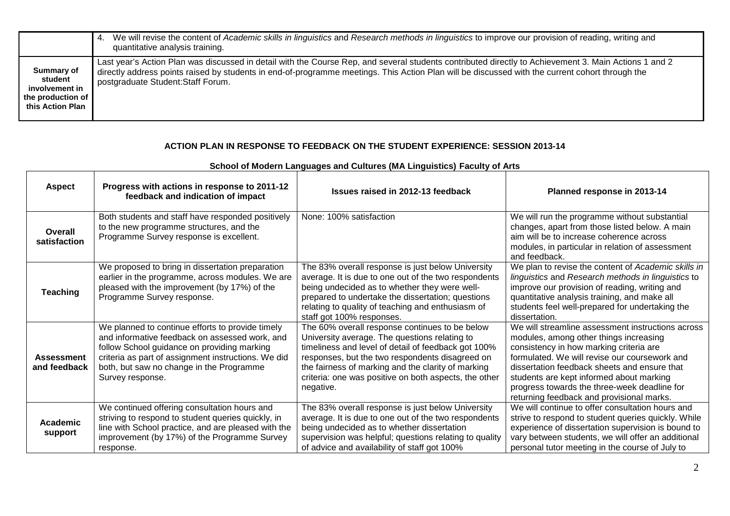|                                                                                  | We will revise the content of Academic skills in linguistics and Research methods in linguistics to improve our provision of reading, writing and<br>4.<br>quantitative analysis training.                                                                                                                                                     |
|----------------------------------------------------------------------------------|------------------------------------------------------------------------------------------------------------------------------------------------------------------------------------------------------------------------------------------------------------------------------------------------------------------------------------------------|
| Summary of<br>student<br>involvement in<br>the production of<br>this Action Plan | Last year's Action Plan was discussed in detail with the Course Rep, and several students contributed directly to Achievement 3. Main Actions 1 and 2<br>directly address points raised by students in end-of-programme meetings. This Action Plan will be discussed with the current cohort through the<br>postgraduate Student: Staff Forum. |

## **ACTION PLAN IN RESPONSE TO FEEDBACK ON THE STUDENT EXPERIENCE: SESSION 2013-14**

| <b>Aspect</b>                     | Progress with actions in response to 2011-12<br>feedback and indication of impact                                                                                                                                                                                        | Issues raised in 2012-13 feedback                                                                                                                                                                                                                                                                                                     | Planned response in 2013-14                                                                                                                                                                                                                                                                                                                                                      |
|-----------------------------------|--------------------------------------------------------------------------------------------------------------------------------------------------------------------------------------------------------------------------------------------------------------------------|---------------------------------------------------------------------------------------------------------------------------------------------------------------------------------------------------------------------------------------------------------------------------------------------------------------------------------------|----------------------------------------------------------------------------------------------------------------------------------------------------------------------------------------------------------------------------------------------------------------------------------------------------------------------------------------------------------------------------------|
| Overall<br>satisfaction           | Both students and staff have responded positively<br>to the new programme structures, and the<br>Programme Survey response is excellent.                                                                                                                                 | None: 100% satisfaction                                                                                                                                                                                                                                                                                                               | We will run the programme without substantial<br>changes, apart from those listed below. A main<br>aim will be to increase coherence across<br>modules, in particular in relation of assessment<br>and feedback.                                                                                                                                                                 |
| <b>Teaching</b>                   | We proposed to bring in dissertation preparation<br>earlier in the programme, across modules. We are<br>pleased with the improvement (by 17%) of the<br>Programme Survey response.                                                                                       | The 83% overall response is just below University<br>average. It is due to one out of the two respondents<br>being undecided as to whether they were well-<br>prepared to undertake the dissertation; questions<br>relating to quality of teaching and enthusiasm of<br>staff got 100% responses.                                     | We plan to revise the content of Academic skills in<br>linguistics and Research methods in linguistics to<br>improve our provision of reading, writing and<br>quantitative analysis training, and make all<br>students feel well-prepared for undertaking the<br>dissertation.                                                                                                   |
| <b>Assessment</b><br>and feedback | We planned to continue efforts to provide timely<br>and informative feedback on assessed work, and<br>follow School guidance on providing marking<br>criteria as part of assignment instructions. We did<br>both, but saw no change in the Programme<br>Survey response. | The 60% overall response continues to be below<br>University average. The questions relating to<br>timeliness and level of detail of feedback got 100%<br>responses, but the two respondents disagreed on<br>the fairness of marking and the clarity of marking<br>criteria: one was positive on both aspects, the other<br>negative. | We will streamline assessment instructions across<br>modules, among other things increasing<br>consistency in how marking criteria are<br>formulated. We will revise our coursework and<br>dissertation feedback sheets and ensure that<br>students are kept informed about marking<br>progress towards the three-week deadline for<br>returning feedback and provisional marks. |
| <b>Academic</b><br>support        | We continued offering consultation hours and<br>striving to respond to student queries quickly, in<br>line with School practice, and are pleased with the<br>improvement (by 17%) of the Programme Survey<br>response.                                                   | The 83% overall response is just below University<br>average. It is due to one out of the two respondents<br>being undecided as to whether dissertation<br>supervision was helpful; questions relating to quality<br>of advice and availability of staff got 100%                                                                     | We will continue to offer consultation hours and<br>strive to respond to student queries quickly. While<br>experience of dissertation supervision is bound to<br>vary between students, we will offer an additional<br>personal tutor meeting in the course of July to                                                                                                           |

## **School of Modern Languages and Cultures (MA Linguistics) Faculty of Arts**